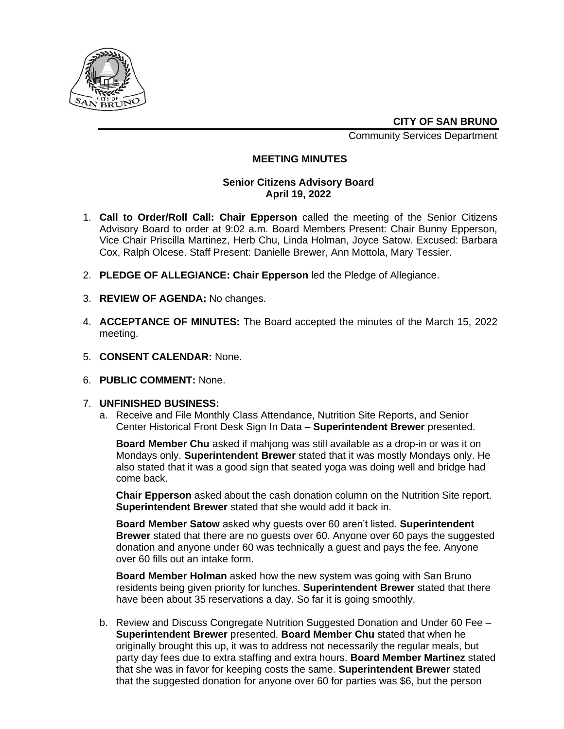

**CITY OF SAN BRUNO**

Community Services Department

# **MEETING MINUTES**

## **Senior Citizens Advisory Board April 19, 2022**

- 1. **Call to Order/Roll Call: Chair Epperson** called the meeting of the Senior Citizens Advisory Board to order at 9:02 a.m. Board Members Present: Chair Bunny Epperson, Vice Chair Priscilla Martinez, Herb Chu, Linda Holman, Joyce Satow. Excused: Barbara Cox, Ralph Olcese. Staff Present: Danielle Brewer, Ann Mottola, Mary Tessier.
- 2. **PLEDGE OF ALLEGIANCE: Chair Epperson** led the Pledge of Allegiance.
- 3. **REVIEW OF AGENDA:** No changes.
- 4. **ACCEPTANCE OF MINUTES:** The Board accepted the minutes of the March 15, 2022 meeting.
- 5. **CONSENT CALENDAR:** None.
- 6. **PUBLIC COMMENT:** None.

## 7. **UNFINISHED BUSINESS:**

a. Receive and File Monthly Class Attendance, Nutrition Site Reports, and Senior Center Historical Front Desk Sign In Data – **Superintendent Brewer** presented.

**Board Member Chu** asked if mahjong was still available as a drop-in or was it on Mondays only. **Superintendent Brewer** stated that it was mostly Mondays only. He also stated that it was a good sign that seated yoga was doing well and bridge had come back.

**Chair Epperson** asked about the cash donation column on the Nutrition Site report. **Superintendent Brewer** stated that she would add it back in.

**Board Member Satow** asked why guests over 60 aren't listed. **Superintendent Brewer** stated that there are no guests over 60. Anyone over 60 pays the suggested donation and anyone under 60 was technically a guest and pays the fee. Anyone over 60 fills out an intake form.

**Board Member Holman** asked how the new system was going with San Bruno residents being given priority for lunches. **Superintendent Brewer** stated that there have been about 35 reservations a day. So far it is going smoothly.

b. Review and Discuss Congregate Nutrition Suggested Donation and Under 60 Fee – **Superintendent Brewer** presented. **Board Member Chu** stated that when he originally brought this up, it was to address not necessarily the regular meals, but party day fees due to extra staffing and extra hours. **Board Member Martinez** stated that she was in favor for keeping costs the same. **Superintendent Brewer** stated that the suggested donation for anyone over 60 for parties was \$6, but the person